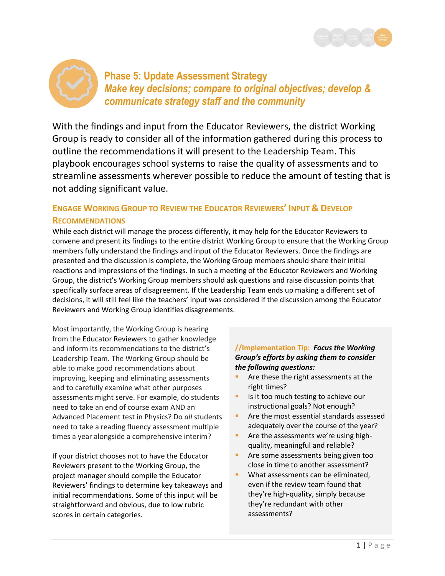



**Phase 5: Update Assessment Strategy** *Make key decisions; compare to original objectives; develop & communicate strategy staff and the community*

With the findings and input from the Educator Reviewers, the district Working Group is ready to consider all of the information gathered during this process to outline the recommendations it will present to the Leadership Team. This playbook encourages school systems to raise the quality of assessments and to streamline assessments wherever possible to reduce the amount of testing that is not adding significant value.

## **ENGAGE WORKING GROUP TO REVIEW THE EDUCATOR REVIEWERS' INPUT & DEVELOP RECOMMENDATIONS**

While each district will manage the process differently, it may help for the Educator Reviewers to convene and present its findings to the entire district Working Group to ensure that the Working Group members fully understand the findings and input of the Educator Reviewers. Once the findings are presented and the discussion is complete, the Working Group members should share their initial reactions and impressions of the findings. In such a meeting of the Educator Reviewers and Working Group, the district's Working Group members should ask questions and raise discussion points that specifically surface areas of disagreement. If the Leadership Team ends up making a different set of decisions, it will still feel like the teachers' input was considered if the discussion among the Educator Reviewers and Working Group identifies disagreements.

Most importantly, the Working Group is hearing from the Educator Reviewers to gather knowledge and inform its recommendations to the district's Leadership Team. The Working Group should be able to make good recommendations about improving, keeping and eliminating assessments and to carefully examine what other purposes assessments might serve. For example, do students need to take an end of course exam AND an Advanced Placement test in Physics? Do *all* students need to take a reading fluency assessment multiple times a year alongside a comprehensive interim?

If your district chooses not to have the Educator Reviewers present to the Working Group, the project manager should compile the Educator Reviewers' findings to determine key takeaways and initial recommendations. Some of this input will be straightforward and obvious, due to low rubric scores in certain categories.

### **//Implementation Tip:** *Focus the Working Group's efforts by asking them to consider the following questions:*

- Are these the right assessments at the right times?
- Is it too much testing to achieve our instructional goals? Not enough?
- **Are the most essential standards assessed** adequately over the course of the year?
- Are the assessments we're using highquality, meaningful and reliable?
- **Are some assessments being given too** close in time to another assessment?
- **What assessments can be eliminated.** even if the review team found that they're high-quality, simply because they're redundant with other assessments?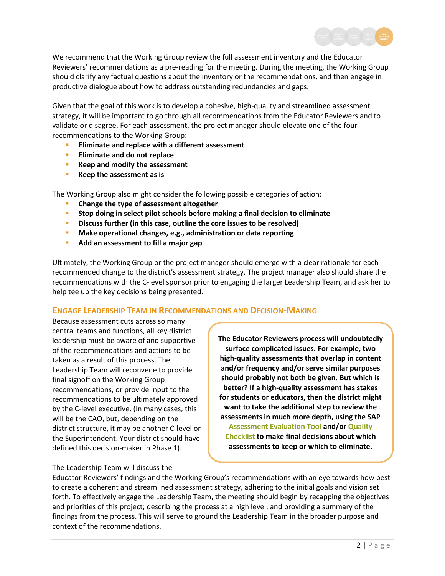

We recommend that the Working Group review the full assessment inventory and the Educator Reviewers' recommendations as a pre-reading for the meeting. During the meeting, the Working Group should clarify any factual questions about the inventory or the recommendations, and then engage in productive dialogue about how to address outstanding redundancies and gaps.

Given that the goal of this work is to develop a cohesive, high-quality and streamlined assessment strategy, it will be important to go through all recommendations from the Educator Reviewers and to validate or disagree. For each assessment, the project manager should elevate one of the four recommendations to the Working Group:

- **Eliminate and replace with a different assessment**
- **Eliminate and do not replace**
- **Keep and modify the assessment**
- **Keep the assessment as is**

The Working Group also might consider the following possible categories of action:

- **Change the type of assessment altogether**
- **Stop doing in select pilot schools before making a final decision to eliminate**
- **Discuss further (in this case, outline the core issues to be resolved)**
- **Make operational changes, e.g., administration or data reporting**
- **Add an assessment to fill a major gap**

Ultimately, the Working Group or the project manager should emerge with a clear rationale for each recommended change to the district's assessment strategy. The project manager also should share the recommendations with the C-level sponsor prior to engaging the larger Leadership Team, and ask her to help tee up the key decisions being presented.

#### **ENGAGE LEADERSHIP TEAM IN RECOMMENDATIONS AND DECISION-MAKING**

Because assessment cuts across so many central teams and functions, all key district leadership must be aware of and supportive of the recommendations and actions to be taken as a result of this process. The Leadership Team will reconvene to provide final signoff on the Working Group recommendations, or provide input to the recommendations to be ultimately approved by the C-level executive. (In many cases, this will be the CAO, but, depending on the district structure, it may be another C-level or the Superintendent. Your district should have defined this decision-maker in Phase 1).

The Leadership Team will discuss the

**The Educator Reviewers process will undoubtedly surface complicated issues. For example, two high-quality assessments that overlap in content and/or frequency and/or serve similar purposes should probably not both be given. But which is better? If a high-quality assessment has stakes for students or educators, then the district might want to take the additional step to review the assessments in much more depth, using the SAP [Assessment Evaluation Tool](http://achievethecore.org/dashboard/410/search/3/1/0/1/2/3/4/5/6/7/8/9/10/11/12/page/606/assessment-evaluation-tool-aet-list-pg) and/or [Quality](http://achievethecore.org/dashboard/410/search/3/1/0/1/2/3/4/5/6/7/8/9/10/11/12/page/607/assessment-quality-criteria-checklists-list-pg)  [Checklist](http://achievethecore.org/dashboard/410/search/3/1/0/1/2/3/4/5/6/7/8/9/10/11/12/page/607/assessment-quality-criteria-checklists-list-pg) to make final decisions about which assessments to keep or which to eliminate.**

Educator Reviewers' findings and the Working Group's recommendations with an eye towards how best to create a coherent and streamlined assessment strategy, adhering to the initial goals and vision set forth. To effectively engage the Leadership Team, the meeting should begin by recapping the objectives and priorities of this project; describing the process at a high level; and providing a summary of the findings from the process. This will serve to ground the Leadership Team in the broader purpose and context of the recommendations.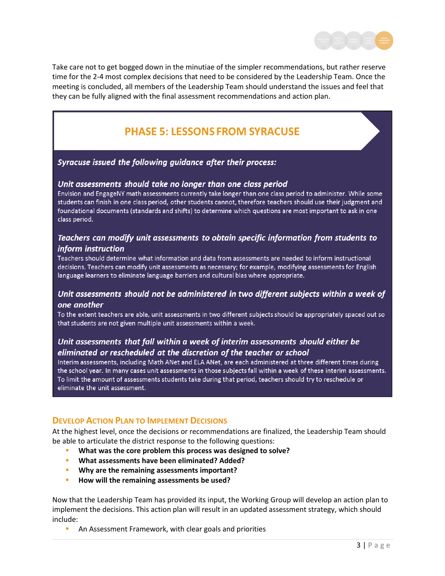

Take care not to get bogged down in the minutiae of the simpler recommendations, but rather reserve time for the 2-4 most complex decisions that need to be considered by the Leadership Team. Once the meeting is concluded, all members of the Leadership Team should understand the issues and feel that they can be fully aligned with the final assessment recommendations and action plan.

# **PHASE 5: LESSONS FROM SYRACUSE**

#### Syracuse issued the following guidance after their process:

#### Unit assessments should take no longer than one class period

Envision and EngageNY math assessments currently take longer than one class period to administer. While some students can finish in one class period, other students cannot, therefore teachers should use their judgment and foundational documents (standards and shifts) to determine which questions are most important to ask in one class period.

#### Teachers can modify unit assessments to obtain specific information from students to inform instruction

Teachers should determine what information and data from assessments are needed to inform instructional decisions. Teachers can modify unit assessments as necessary; for example, modifying assessments for English language learners to eliminate language barriers and cultural bias where appropriate.

#### Unit assessments should not be administered in two different subjects within a week of one another

To the extent teachers are able, unit assessments in two different subjects should be appropriately spaced out so that students are not given multiple unit assessments within a week.

## Unit assessments that fall within a week of interim assessments should either be eliminated or rescheduled at the discretion of the teacher or school

Interim assessments, including Math ANet and ELA ANet, are each administered at three different times during the school year. In many cases unit assessments in those subjects fall within a week of these interim assessments. To limit the amount of assessments students take during that period, teachers should try to reschedule or eliminate the unit assessment.

#### **DEVELOP ACTION PLAN TO IMPLEMENT DECISIONS**

At the highest level, once the decisions or recommendations are finalized, the Leadership Team should be able to articulate the district response to the following questions:

- **What was the core problem this process was designed to solve?**
- **What assessments have been eliminated? Added?**
- **Why are the remaining assessments important?**
- **How will the remaining assessments be used?**

Now that the Leadership Team has provided its input, the Working Group will develop an action plan to implement the decisions. This action plan will result in an updated assessment strategy, which should include:

An Assessment Framework, with clear goals and priorities